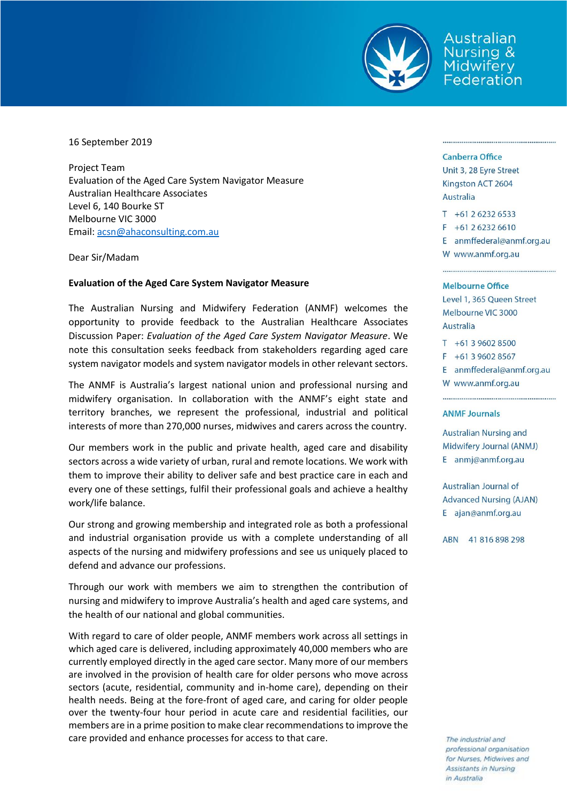

Australian **Nursing &** Midwifery Federation

16 September 2019

Project Team Evaluation of the Aged Care System Navigator Measure Australian Healthcare Associates Level 6, 140 Bourke ST Melbourne VIC 3000 Email: [acsn@ahaconsulting.com.au](mailto:acsn@ahaconsulting.com.au)

Dear Sir/Madam

# **Evaluation of the Aged Care System Navigator Measure**

The Australian Nursing and Midwifery Federation (ANMF) welcomes the opportunity to provide feedback to the Australian Healthcare Associates Discussion Paper: *Evaluation of the Aged Care System Navigator Measure*. We note this consultation seeks feedback from stakeholders regarding aged care system navigator models and system navigator models in other relevant sectors.

The ANMF is Australia's largest national union and professional nursing and midwifery organisation. In collaboration with the ANMF's eight state and territory branches, we represent the professional, industrial and political interests of more than 270,000 nurses, midwives and carers across the country.

Our members work in the public and private health, aged care and disability sectors across a wide variety of urban, rural and remote locations. We work with them to improve their ability to deliver safe and best practice care in each and every one of these settings, fulfil their professional goals and achieve a healthy work/life balance.

Our strong and growing membership and integrated role as both a professional and industrial organisation provide us with a complete understanding of all aspects of the nursing and midwifery professions and see us uniquely placed to defend and advance our professions.

Through our work with members we aim to strengthen the contribution of nursing and midwifery to improve Australia's health and aged care systems, and the health of our national and global communities.

With regard to care of older people, ANMF members work across all settings in which aged care is delivered, including approximately 40,000 members who are currently employed directly in the aged care sector. Many more of our members are involved in the provision of health care for older persons who move across sectors (acute, residential, community and in-home care), depending on their health needs. Being at the fore-front of aged care, and caring for older people over the twenty-four hour period in acute care and residential facilities, our members are in a prime position to make clear recommendations to improve the care provided and enhance processes for access to that care.

### **Canberra Office**

Unit 3, 28 Eyre Street Kingston ACT 2604 Australia

 $T + 61262326533$ 

 $F + 61262326610$ 

E anmffederal@anmf.org.au W www.anmf.org.au

## **Melbourne Office**

Level 1, 365 Queen Street Melbourne VIC 3000 **Australia** 

 $T + 61396028500$ 

F +61 3 9602 8567

E anmffederal@anmf.org.au

W www.anmf.org.au

#### **ANMF Journals**

**Australian Nursing and** Midwifery Journal (ANMJ) E anmj@anmf.org.au

Australian Journal of **Advanced Nursing (AJAN)** E ajan@anmf.org.au

ABN 41816898298

The industrial and professional organisation for Nurses, Midwives and Assistants in Nursing in Australia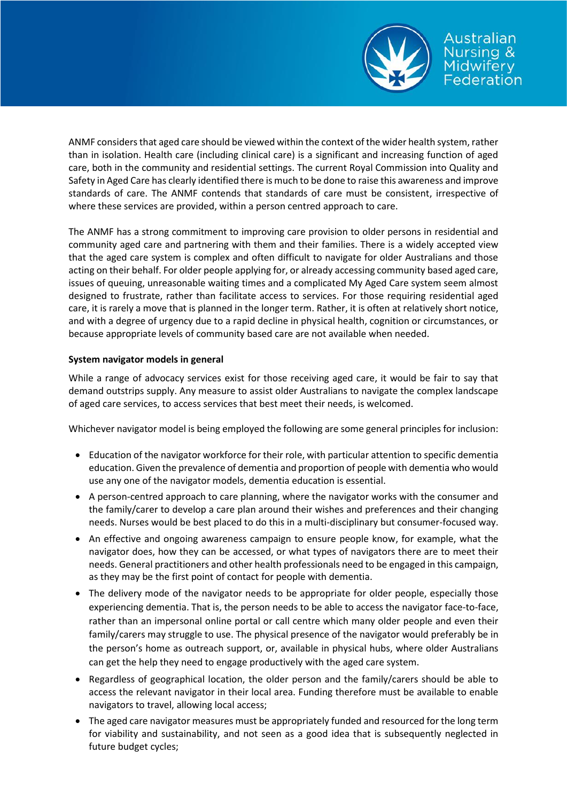

ANMF considers that aged care should be viewed within the context of the wider health system, rather than in isolation. Health care (including clinical care) is a significant and increasing function of aged care, both in the community and residential settings. The current Royal Commission into Quality and Safety in Aged Care has clearly identified there is much to be done to raise this awareness and improve standards of care. The ANMF contends that standards of care must be consistent, irrespective of where these services are provided, within a person centred approach to care.

The ANMF has a strong commitment to improving care provision to older persons in residential and community aged care and partnering with them and their families. There is a widely accepted view that the aged care system is complex and often difficult to navigate for older Australians and those acting on their behalf. For older people applying for, or already accessing community based aged care, issues of queuing, unreasonable waiting times and a complicated My Aged Care system seem almost designed to frustrate, rather than facilitate access to services. For those requiring residential aged care, it is rarely a move that is planned in the longer term. Rather, it is often at relatively short notice, and with a degree of urgency due to a rapid decline in physical health, cognition or circumstances, or because appropriate levels of community based care are not available when needed.

# **System navigator models in general**

While a range of advocacy services exist for those receiving aged care, it would be fair to say that demand outstrips supply. Any measure to assist older Australians to navigate the complex landscape of aged care services, to access services that best meet their needs, is welcomed.

Whichever navigator model is being employed the following are some general principles for inclusion:

- Education of the navigator workforce for their role, with particular attention to specific dementia education. Given the prevalence of dementia and proportion of people with dementia who would use any one of the navigator models, dementia education is essential.
- A person-centred approach to care planning, where the navigator works with the consumer and the family/carer to develop a care plan around their wishes and preferences and their changing needs. Nurses would be best placed to do this in a multi-disciplinary but consumer-focused way.
- An effective and ongoing awareness campaign to ensure people know, for example, what the navigator does, how they can be accessed, or what types of navigators there are to meet their needs. General practitioners and other health professionals need to be engaged in this campaign, as they may be the first point of contact for people with dementia.
- The delivery mode of the navigator needs to be appropriate for older people, especially those experiencing dementia. That is, the person needs to be able to access the navigator face-to-face, rather than an impersonal online portal or call centre which many older people and even their family/carers may struggle to use. The physical presence of the navigator would preferably be in the person's home as outreach support, or, available in physical hubs, where older Australians can get the help they need to engage productively with the aged care system.
- Regardless of geographical location, the older person and the family/carers should be able to access the relevant navigator in their local area. Funding therefore must be available to enable navigators to travel, allowing local access;
- The aged care navigator measures must be appropriately funded and resourced for the long term for viability and sustainability, and not seen as a good idea that is subsequently neglected in future budget cycles;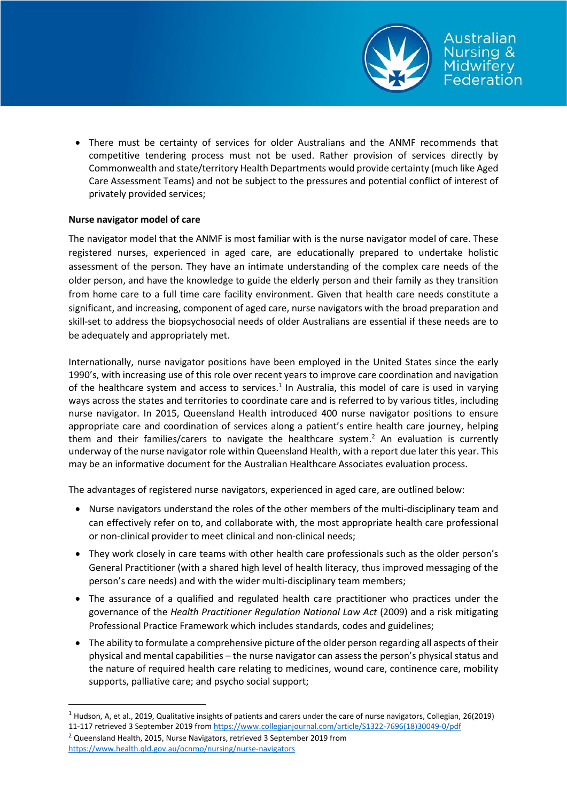

 There must be certainty of services for older Australians and the ANMF recommends that competitive tendering process must not be used. Rather provision of services directly by Commonwealth and state/territory Health Departments would provide certainty (much like Aged Care Assessment Teams) and not be subject to the pressures and potential conflict of interest of privately provided services;

# **Nurse navigator model of care**

The navigator model that the ANMF is most familiar with is the nurse navigator model of care. These registered nurses, experienced in aged care, are educationally prepared to undertake holistic assessment of the person. They have an intimate understanding of the complex care needs of the older person, and have the knowledge to guide the elderly person and their family as they transition from home care to a full time care facility environment. Given that health care needs constitute a significant, and increasing, component of aged care, nurse navigators with the broad preparation and skill-set to address the biopsychosocial needs of older Australians are essential if these needs are to be adequately and appropriately met.

Internationally, nurse navigator positions have been employed in the United States since the early 1990's, with increasing use of this role over recent years to improve care coordination and navigation of the healthcare system and access to services.<sup>1</sup> In Australia, this model of care is used in varying ways across the states and territories to coordinate care and is referred to by various titles, including nurse navigator. In 2015, Queensland Health introduced 400 nurse navigator positions to ensure appropriate care and coordination of services along a patient's entire health care journey, helping them and their families/carers to navigate the healthcare system. <sup>2</sup> An evaluation is currently underway of the nurse navigator role within Queensland Health, with a report due later this year. This may be an informative document for the Australian Healthcare Associates evaluation process.

The advantages of registered nurse navigators, experienced in aged care, are outlined below:

- Nurse navigators understand the roles of the other members of the multi-disciplinary team and can effectively refer on to, and collaborate with, the most appropriate health care professional or non-clinical provider to meet clinical and non-clinical needs;
- They work closely in care teams with other health care professionals such as the older person's General Practitioner (with a shared high level of health literacy, thus improved messaging of the person's care needs) and with the wider multi-disciplinary team members;
- The assurance of a qualified and regulated health care practitioner who practices under the governance of the *Health Practitioner Regulation National Law Act* (2009) and a risk mitigating Professional Practice Framework which includes standards, codes and guidelines;
- The ability to formulate a comprehensive picture of the older person regarding all aspects of their physical and mental capabilities – the nurse navigator can assess the person's physical status and the nature of required health care relating to medicines, wound care, continence care, mobility supports, palliative care; and psycho social support;

<sup>2</sup> Queensland Health, 2015, Nurse Navigators, retrieved 3 September 2019 from <https://www.health.qld.gov.au/ocnmo/nursing/nurse-navigators>

1

<sup>1</sup> Hudson, A, et al., 2019, Qualitative insights of patients and carers under the care of nurse navigators, Collegian, 26(2019) 11-117 retrieved 3 September 2019 from [https://www.collegianjournal.com/article/S1322-7696\(18\)30049-0/pdf](https://www.collegianjournal.com/article/S1322-7696(18)30049-0/pdf)